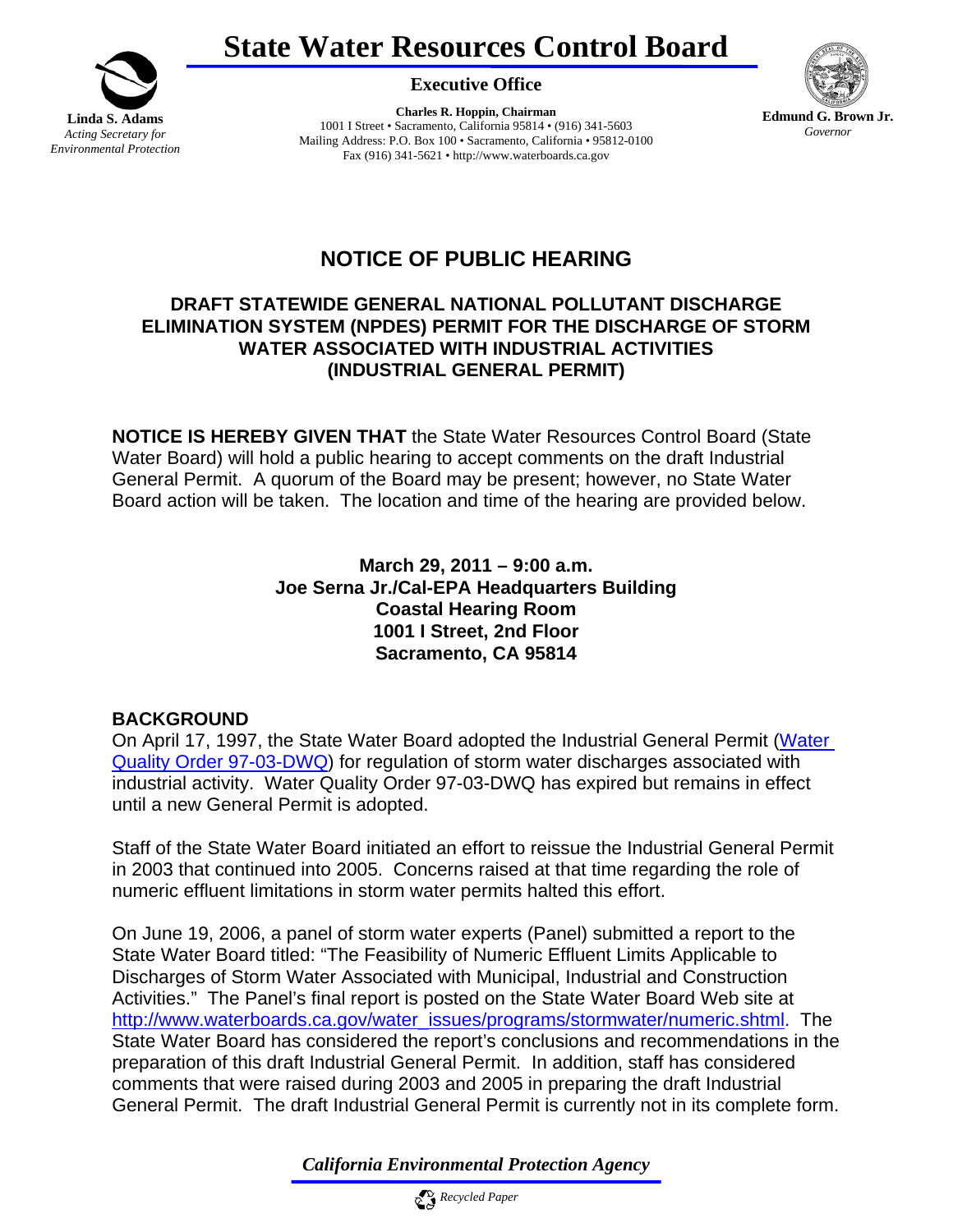



**Executive Office** 

**Charles R. Hoppin, Chairman**  1001 I Street • Sacramento, California 95814 • (916) 341-5603 Mailing Address: P.O. Box 100 • Sacramento, California • 95812-0100 Fax (916) 341-5621 • http://www.waterboards.ca.gov



# **NOTICE OF PUBLIC HEARING**

## **DRAFT STATEWIDE GENERAL NATIONAL POLLUTANT DISCHARGE ELIMINATION SYSTEM (NPDES) PERMIT FOR THE DISCHARGE OF STORM WATER ASSOCIATED WITH INDUSTRIAL ACTIVITIES (INDUSTRIAL GENERAL PERMIT)**

**NOTICE IS HEREBY GIVEN THAT** the State Water Resources Control Board (State Water Board) will hold a public hearing to accept comments on the draft Industrial General Permit. A quorum of the Board may be present; however, no State Water Board action will be taken. The location and time of the hearing are provided below.

> **March 29, 2011 – 9:00 a.m. Joe Serna Jr./Cal-EPA Headquarters Building Coastal Hearing Room 1001 I Street, 2nd Floor Sacramento, CA 95814**

#### **BACKGROUND**

On April 17, 1997, the State Water Board adopted the Industrial General Permit [\(Water](http://www.waterboards.ca.gov/board_decisions/adopted_orders/water_quality/1997/wq1997_03.pdf)  [Quality Order 97-03-DWQ\)](http://www.waterboards.ca.gov/board_decisions/adopted_orders/water_quality/1997/wq1997_03.pdf) for regulation of storm water discharges associated with industrial activity. Water Quality Order 97-03-DWQ has expired but remains in effect until a new General Permit is adopted.

Staff of the State Water Board initiated an effort to reissue the Industrial General Permit in 2003 that continued into 2005. Concerns raised at that time regarding the role of numeric effluent limitations in storm water permits halted this effort.

On June 19, 2006, a panel of storm water experts (Panel) submitted a report to the State Water Board titled: "The Feasibility of Numeric Effluent Limits Applicable to Discharges of Storm Water Associated with Municipal, Industrial and Construction Activities." The Panel's final report is posted on the State Water Board Web site at [http://www.waterboards.ca.gov/water\\_issues/programs/stormwater/numeric.shtml](http://www.waterboards.ca.gov/water_issues/programs/stormwater/numeric.shtml). The State Water Board has considered the report's conclusions and recommendations in the preparation of this draft Industrial General Permit. In addition, staff has considered comments that were raised during 2003 and 2005 in preparing the draft Industrial General Permit. The draft Industrial General Permit is currently not in its complete form.

*California Environmental Protection Agency*

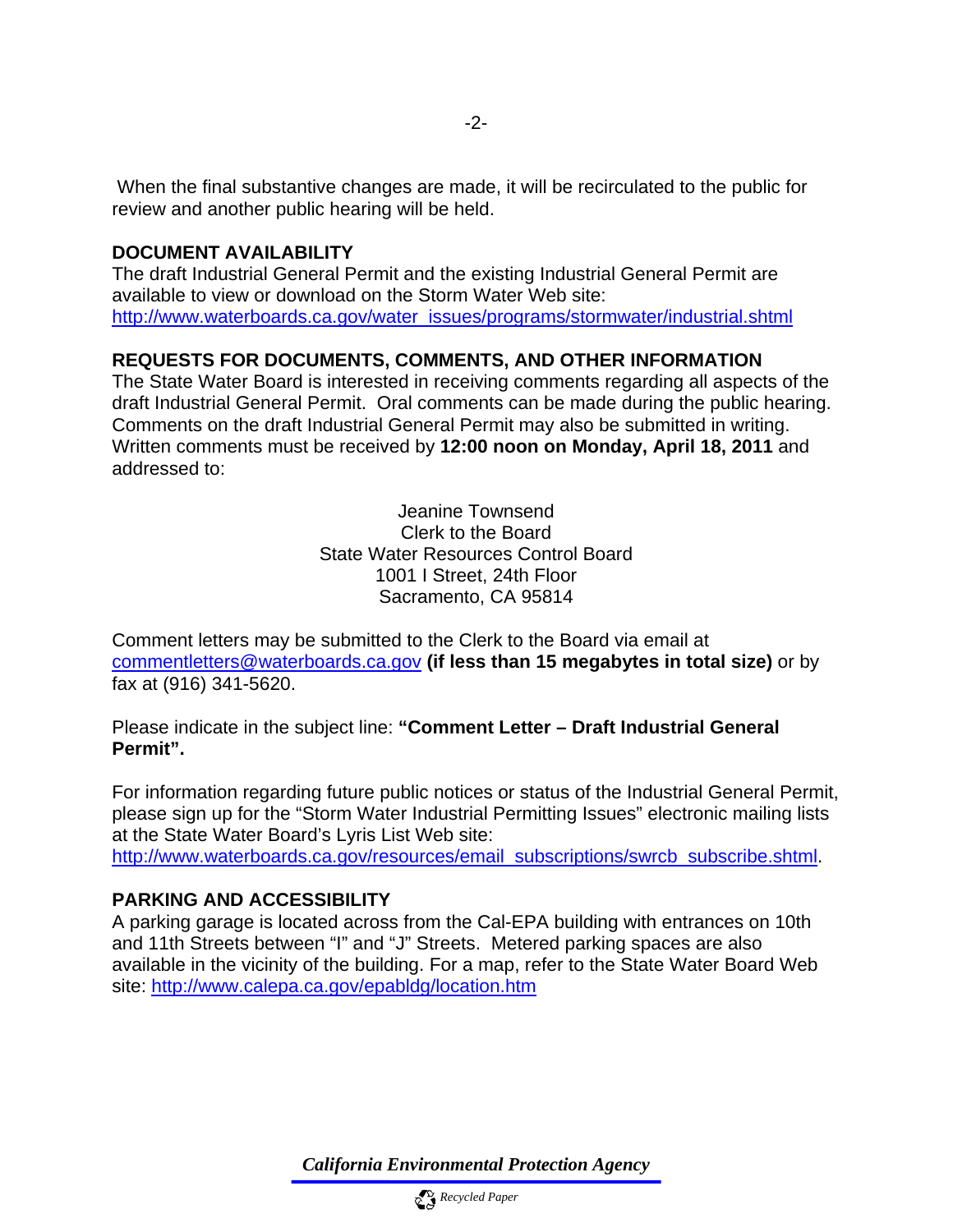When the final substantive changes are made, it will be recirculated to the public for review and another public hearing will be held.

#### **DOCUMENT AVAILABILITY**

The draft Industrial General Permit and the existing Industrial General Permit are available to view or download on the Storm Water Web site: [http://www.waterboards.ca.gov/water\\_issues/programs/stormwater/industrial.shtml](http://www.waterboards.ca.gov/water_issues/programs/stormwater/industrial.shtml)

## **REQUESTS FOR DOCUMENTS, COMMENTS, AND OTHER INFORMATION**

The State Water Board is interested in receiving comments regarding all aspects of the draft Industrial General Permit. Oral comments can be made during the public hearing. Comments on the draft Industrial General Permit may also be submitted in writing. Written comments must be received by **12:00 noon on Monday, April 18, 2011** and addressed to:

> Jeanine Townsend Clerk to the Board State Water Resources Control Board 1001 I Street, 24th Floor Sacramento, CA 95814

Comment letters may be submitted to the Clerk to the Board via email at [commentletters@waterboards.ca.gov](mailto:commentletters@waterboards.ca.gov) **(if less than 15 megabytes in total size)** or by fax at (916) 341-5620.

Please indicate in the subject line: **"Comment Letter – Draft Industrial General Permit".** 

For information regarding future public notices or status of the Industrial General Permit, please sign up for the "Storm Water Industrial Permitting Issues" electronic mailing lists at the State Water Board's Lyris List Web site:

[http://www.waterboards.ca.gov/resources/email\\_subscriptions/swrcb\\_subscribe.shtml](http://www.waterboards.ca.gov/resources/email_subscriptions/swrcb_subscribe.shtml).

#### **PARKING AND ACCESSIBILITY**

A parking garage is located across from the Cal-EPA building with entrances on 10th and 11th Streets between "I" and "J" Streets. Metered parking spaces are also available in the vicinity of the building. For a map, refer to the State Water Board Web site:<http://www.calepa.ca.gov/epabldg/location.htm>

*California Environmental Protection Agency*